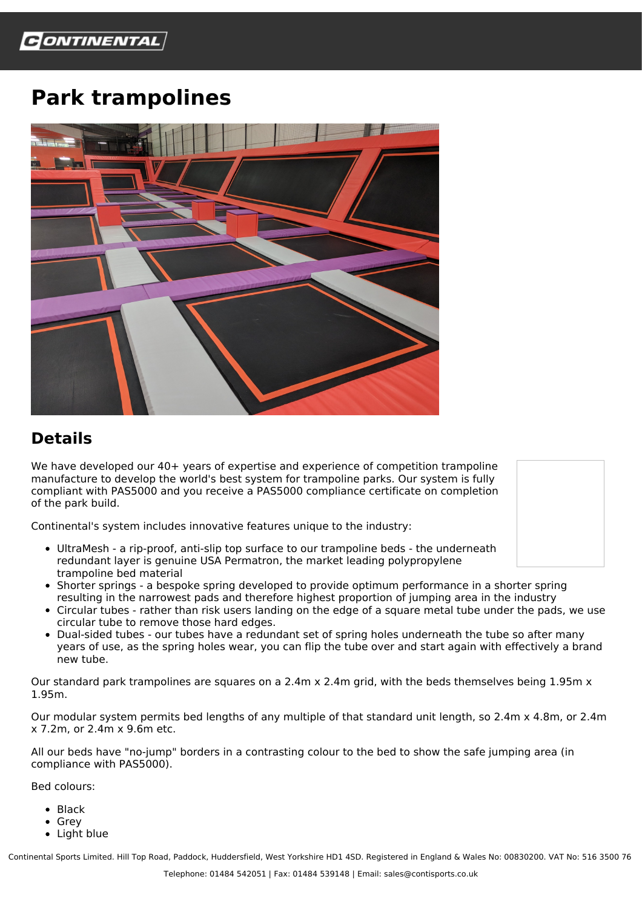## **Park trampolines**



## **Details**

We have developed our 40+ years of expertise and experience of competition trampoline manufacture to develop the world's best system for trampoline parks. Our system is fully compliant with PAS5000 and you receive a PAS5000 compliance certificate on completion of the park build.

Continental's system includes innovative features unique to the industry:

- UltraMesh a rip-proof, anti-slip top surface to our trampoline beds the underneath redundant layer is genuine USA Permatron, the market leading polypropylene trampoline bed material
- Shorter springs a bespoke spring developed to provide optimum performance in a shorter spring resulting in the narrowest pads and therefore highest proportion of jumping area in the industry
- Circular tubes rather than risk users landing on the edge of a square metal tube under the pads, we use circular tube to remove those hard edges.
- Dual-sided tubes our tubes have a redundant set of spring holes underneath the tube so after many years of use, as the spring holes wear, you can flip the tube over and start again with effectively a brand new tube.

Our standard park trampolines are squares on a 2.4m x 2.4m grid, with the beds themselves being 1.95m  $x$ 1.95m.

Our modular system permits bed lengths of any multiple of that standard unit length, so 2.4m x 4.8m, or 2.4m x 7.2m, or 2.4m x 9.6m etc.

All our beds have "no-jump" borders in a contrasting colour to the bed to show the safe jumping area (in compliance with PAS5000).

Bed colours:

- Black
- Grey
- Light blue

Continental Sports Limited. Hill Top Road, Paddock, Huddersfield, West Yorkshire HD1 4SD. Registered in England & Wales No: 00830200. VAT No: 516 3500 76